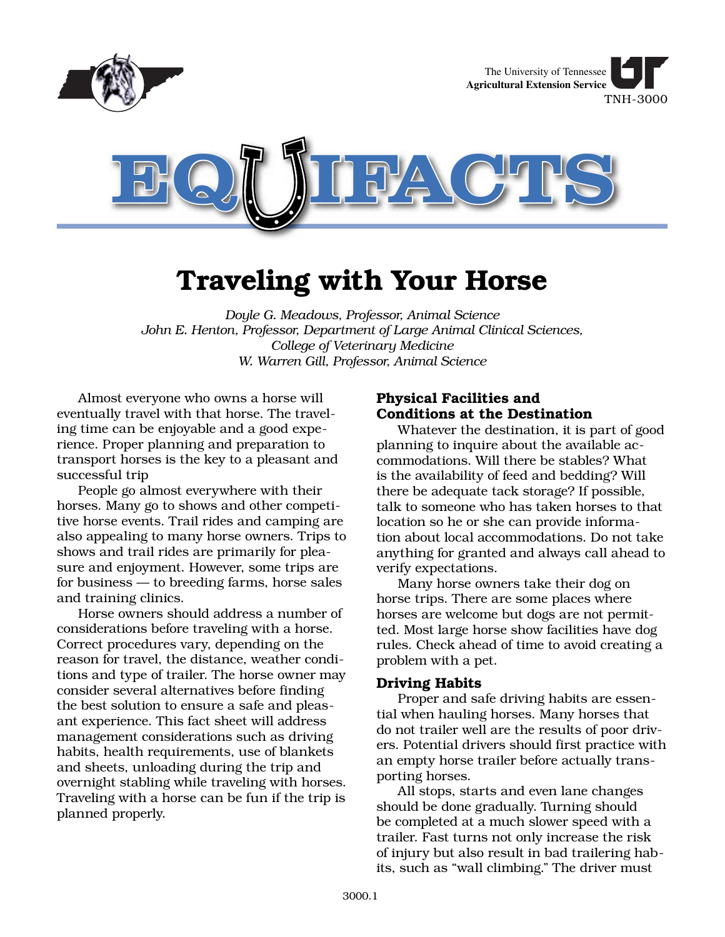

# **Traveling with Your Horse**

*Doyle G. Meadows, Professor, Animal Science John E. Henton, Professor, Department of Large Animal Clinical Sciences, College of Veterinary Medicine W. Warren Gill, Professor, Animal Science*

Almost everyone who owns a horse will eventually travel with that horse. The traveling time can be enjoyable and a good experience. Proper planning and preparation to transport horses is the key to a pleasant and successful trip

People go almost everywhere with their horses. Many go to shows and other competitive horse events. Trail rides and camping are also appealing to many horse owners. Trips to shows and trail rides are primarily for pleasure and enjoyment. However, some trips are for business — to breeding farms, horse sales and training clinics.

Horse owners should address a number of considerations before traveling with a horse. Correct procedures vary, depending on the reason for travel, the distance, weather conditions and type of trailer. The horse owner may consider several alternatives before finding the best solution to ensure a safe and pleasant experience. This fact sheet will address management considerations such as driving habits, health requirements, use of blankets and sheets, unloading during the trip and overnight stabling while traveling with horses. Traveling with a horse can be fun if the trip is planned properly.

# **Physical Facilities and Conditions at the Destination**

Whatever the destination, it is part of good planning to inquire about the available accommodations. Will there be stables? What is the availability of feed and bedding? Will there be adequate tack storage? If possible, talk to someone who has taken horses to that location so he or she can provide information about local accommodations. Do not take anything for granted and always call ahead to verify expectations.

Many horse owners take their dog on horse trips. There are some places where horses are welcome but dogs are not permitted. Most large horse show facilities have dog rules. Check ahead of time to avoid creating a problem with a pet.

# **Driving Habits**

Proper and safe driving habits are essential when hauling horses. Many horses that do not trailer well are the results of poor drivers. Potential drivers should first practice with an empty horse trailer before actually transporting horses.

All stops, starts and even lane changes should be done gradually. Turning should be completed at a much slower speed with a trailer. Fast turns not only increase the risk of injury but also result in bad trailering habits, such as "wall climbing." The driver must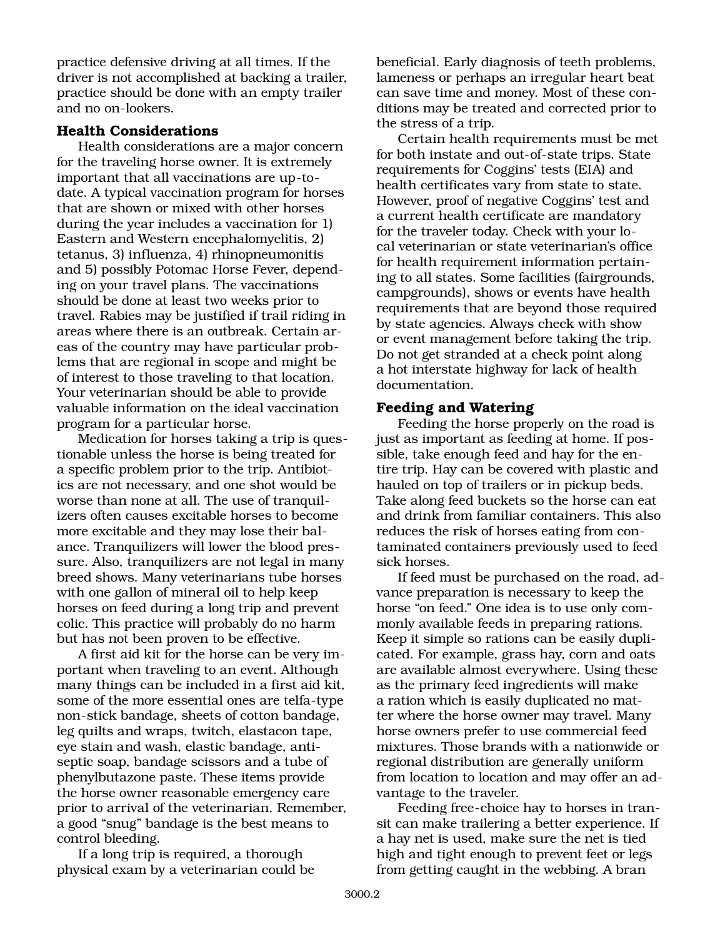practice defensive driving at all times. If the driver is not accomplished at backing a trailer, practice should be done with an empty trailer and no on-lookers.

# **Health Considerations**

Health considerations are a major concern for the traveling horse owner. It is extremely important that all vaccinations are up-todate. A typical vaccination program for horses that are shown or mixed with other horses during the year includes a vaccination for 1) Eastern and Western encephalomyelitis, 2) tetanus, 3) influenza, 4) rhinopneumonitis and 5) possibly Potomac Horse Fever, depending on your travel plans. The vaccinations should be done at least two weeks prior to travel. Rabies may be justified if trail riding in areas where there is an outbreak. Certain areas of the country may have particular problems that are regional in scope and might be of interest to those traveling to that location. Your veterinarian should be able to provide valuable information on the ideal vaccination program for a particular horse.

Medication for horses taking a trip is questionable unless the horse is being treated for a specific problem prior to the trip. Antibiotics are not necessary, and one shot would be worse than none at all. The use of tranquilizers often causes excitable horses to become more excitable and they may lose their balance. Tranquilizers will lower the blood pressure. Also, tranquilizers are not legal in many breed shows. Many veterinarians tube horses with one gallon of mineral oil to help keep horses on feed during a long trip and prevent colic. This practice will probably do no harm but has not been proven to be effective.

A first aid kit for the horse can be very important when traveling to an event. Although many things can be included in a first aid kit, some of the more essential ones are telfa-type non-stick bandage, sheets of cotton bandage, leg quilts and wraps, twitch, elastacon tape, eye stain and wash, elastic bandage, antiseptic soap, bandage scissors and a tube of phenylbutazone paste. These items provide the horse owner reasonable emergency care prior to arrival of the veterinarian. Remember, a good "snug" bandage is the best means to control bleeding.

If a long trip is required, a thorough physical exam by a veterinarian could be beneficial. Early diagnosis of teeth problems, lameness or perhaps an irregular heart beat can save time and money. Most of these conditions may be treated and corrected prior to the stress of a trip.

Certain health requirements must be met for both instate and out-of-state trips. State requirements for Coggins' tests (EIA) and health certificates vary from state to state. However, proof of negative Coggins' test and a current health certificate are mandatory for the traveler today. Check with your local veterinarian or state veterinarian's office for health requirement information pertaining to all states. Some facilities (fairgrounds, campgrounds), shows or events have health requirements that are beyond those required by state agencies. Always check with show or event management before taking the trip. Do not get stranded at a check point along a hot interstate highway for lack of health documentation.

# **Feeding and Watering**

Feeding the horse properly on the road is just as important as feeding at home. If possible, take enough feed and hay for the entire trip. Hay can be covered with plastic and hauled on top of trailers or in pickup beds. Take along feed buckets so the horse can eat and drink from familiar containers. This also reduces the risk of horses eating from contaminated containers previously used to feed sick horses.

If feed must be purchased on the road, advance preparation is necessary to keep the horse "on feed." One idea is to use only commonly available feeds in preparing rations. Keep it simple so rations can be easily duplicated. For example, grass hay, corn and oats are available almost everywhere. Using these as the primary feed ingredients will make a ration which is easily duplicated no matter where the horse owner may travel. Many horse owners prefer to use commercial feed mixtures. Those brands with a nationwide or regional distribution are generally uniform from location to location and may offer an advantage to the traveler.

Feeding free-choice hay to horses in transit can make trailering a better experience. If a hay net is used, make sure the net is tied high and tight enough to prevent feet or legs from getting caught in the webbing. A bran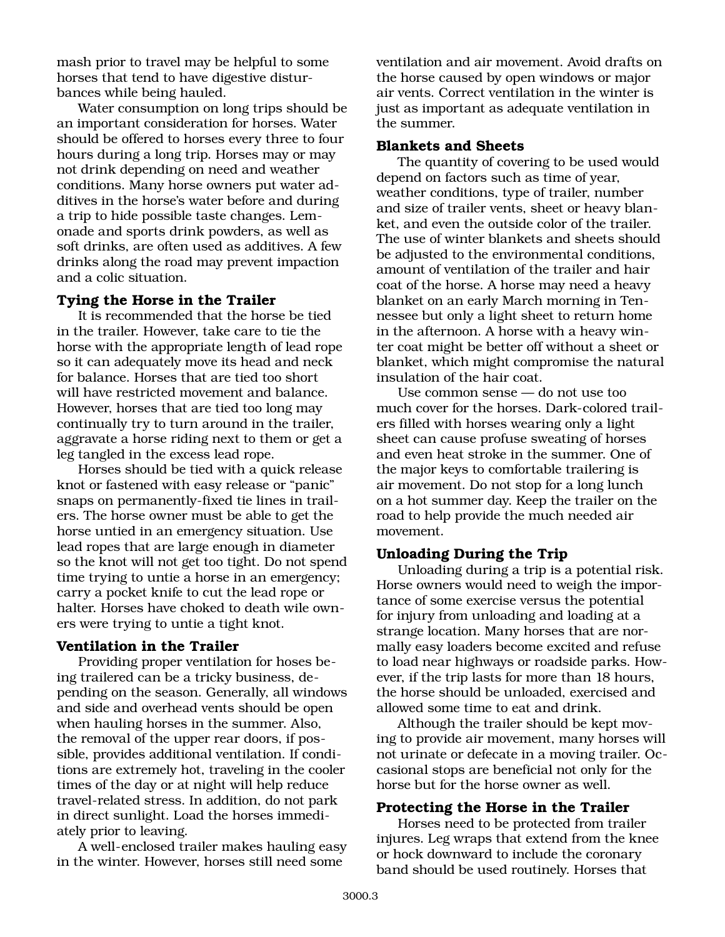mash prior to travel may be helpful to some horses that tend to have digestive disturbances while being hauled.

Water consumption on long trips should be an important consideration for horses. Water should be offered to horses every three to four hours during a long trip. Horses may or may not drink depending on need and weather conditions. Many horse owners put water additives in the horse's water before and during a trip to hide possible taste changes. Lemonade and sports drink powders, as well as soft drinks, are often used as additives. A few drinks along the road may prevent impaction and a colic situation.

# **Tying the Horse in the Trailer**

It is recommended that the horse be tied in the trailer. However, take care to tie the horse with the appropriate length of lead rope so it can adequately move its head and neck for balance. Horses that are tied too short will have restricted movement and balance. However, horses that are tied too long may continually try to turn around in the trailer, aggravate a horse riding next to them or get a leg tangled in the excess lead rope.

Horses should be tied with a quick release knot or fastened with easy release or "panic" snaps on permanently-fixed tie lines in trailers. The horse owner must be able to get the horse untied in an emergency situation. Use lead ropes that are large enough in diameter so the knot will not get too tight. Do not spend time trying to untie a horse in an emergency; carry a pocket knife to cut the lead rope or halter. Horses have choked to death wile owners were trying to untie a tight knot.

#### **Ventilation in the Trailer**

Providing proper ventilation for hoses being trailered can be a tricky business, depending on the season. Generally, all windows and side and overhead vents should be open when hauling horses in the summer. Also, the removal of the upper rear doors, if possible, provides additional ventilation. If conditions are extremely hot, traveling in the cooler times of the day or at night will help reduce travel-related stress. In addition, do not park in direct sunlight. Load the horses immediately prior to leaving.

A well-enclosed trailer makes hauling easy in the winter. However, horses still need some

ventilation and air movement. Avoid drafts on the horse caused by open windows or major air vents. Correct ventilation in the winter is just as important as adequate ventilation in the summer.

### **Blankets and Sheets**

The quantity of covering to be used would depend on factors such as time of year, weather conditions, type of trailer, number and size of trailer vents, sheet or heavy blanket, and even the outside color of the trailer. The use of winter blankets and sheets should be adjusted to the environmental conditions, amount of ventilation of the trailer and hair coat of the horse. A horse may need a heavy blanket on an early March morning in Tennessee but only a light sheet to return home in the afternoon. A horse with a heavy winter coat might be better off without a sheet or blanket, which might compromise the natural insulation of the hair coat.

Use common sense — do not use too much cover for the horses. Dark-colored trailers filled with horses wearing only a light sheet can cause profuse sweating of horses and even heat stroke in the summer. One of the major keys to comfortable trailering is air movement. Do not stop for a long lunch on a hot summer day. Keep the trailer on the road to help provide the much needed air movement.

# **Unloading During the Trip**

Unloading during a trip is a potential risk. Horse owners would need to weigh the importance of some exercise versus the potential for injury from unloading and loading at a strange location. Many horses that are normally easy loaders become excited and refuse to load near highways or roadside parks. However, if the trip lasts for more than 18 hours, the horse should be unloaded, exercised and allowed some time to eat and drink.

Although the trailer should be kept moving to provide air movement, many horses will not urinate or defecate in a moving trailer. Occasional stops are beneficial not only for the horse but for the horse owner as well.

# **Protecting the Horse in the Trailer**

Horses need to be protected from trailer injures. Leg wraps that extend from the knee or hock downward to include the coronary band should be used routinely. Horses that